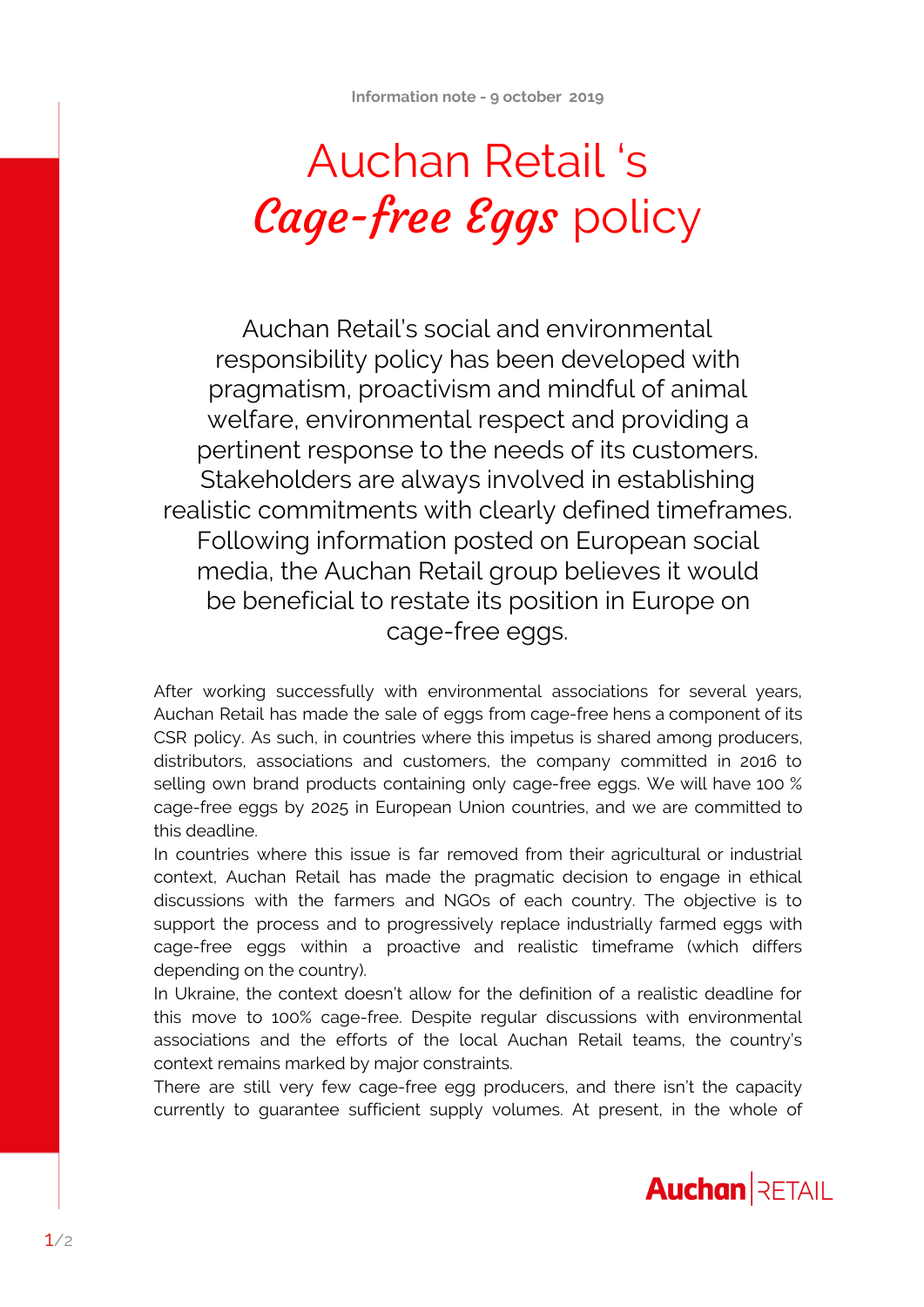## Auchan Retail 's Cage-free Eggs policy

Auchan Retail's social and environmental responsibility policy has been developed with pragmatism, proactivism and mindful of animal welfare, environmental respect and providing a pertinent response to the needs of its customers. Stakeholders are always involved in establishing realistic commitments with clearly defined timeframes. Following information posted on European social media, the Auchan Retail group believes it would be beneficial to restate its position in Europe on cage-free eggs.

After working successfully with environmental associations for several years, Auchan Retail has made the sale of eggs from cage-free hens a component of its CSR policy. As such, in countries where this impetus is shared among producers, distributors, associations and customers, the company committed in 2016 to selling own brand products containing only cage-free eggs. We will have 100 % cage-free eggs by 2025 in European Union countries, and we are committed to this deadline.

In countries where this issue is far removed from their agricultural or industrial context, Auchan Retail has made the pragmatic decision to engage in ethical discussions with the farmers and NGOs of each country. The objective is to support the process and to progressively replace industrially farmed eggs with cage-free eggs within a proactive and realistic timeframe (which differs depending on the country).

In Ukraine, the context doesn't allow for the definition of a realistic deadline for this move to 100% cage-free. Despite regular discussions with environmental associations and the efforts of the local Auchan Retail teams, the country's context remains marked by major constraints.

There are still very few cage-free egg producers, and there isn't the capacity currently to guarantee sufficient supply volumes. At present, in the whole of